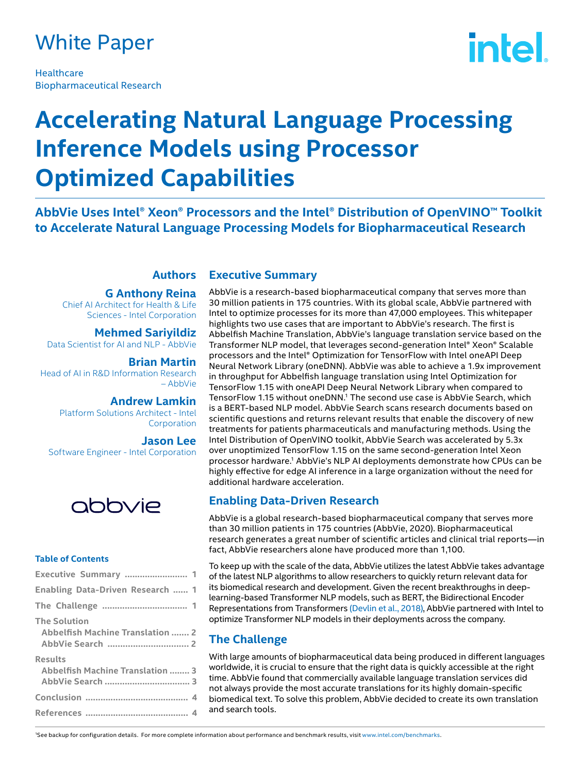### White Paper

**Healthcare** Biopharmaceutical Research

# **intel**

## **Accelerating Natural Language Processing Inference Models using Processor Optimized Capabilities**

**AbbVie Uses Intel® Xeon® Processors and the Intel® Distribution of OpenVINO™ Toolkit to Accelerate Natural Language Processing Models for Biopharmaceutical Research**

#### **Authors**

#### **G Anthony Reina**

Chief AI Architect for Health & Life Sciences - Intel Corporation

**Mehmed Sariyildiz**  Data Scientist for AI and NLP - AbbVie

**Brian Martin** Head of AI in R&D Information Research – AbbVie

> **Andrew Lamkin** Platform Solutions Architect - Intel Corporation

**Jason Lee** Software Engineer - Intel Corporation



#### **Table of Contents**

| Executive Summary  1                                    |
|---------------------------------------------------------|
| Enabling Data-Driven Research  1                        |
|                                                         |
| <b>The Solution</b><br>Abbelfish Machine Translation  2 |
| <b>Results</b><br>Abbelfish Machine Translation  3      |
|                                                         |
|                                                         |

#### **Executive Summary**

AbbVie is a research-based biopharmaceutical company that serves more than 30 million patients in 175 countries. With its global scale, AbbVie partnered with Intel to optimize processes for its more than 47,000 employees. This whitepaper highlights two use cases that are important to AbbVie's research. The first is Abbelfish Machine Translation, AbbVie's language translation service based on the Transformer NLP model, that leverages second-generation Intel® Xeon® Scalable processors and the Intel® Optimization for TensorFlow with Intel oneAPI Deep Neural Network Library (oneDNN). AbbVie was able to achieve a 1.9x improvement in throughput for Abbelfish language translation using Intel Optimization for TensorFlow 1.15 with oneAPI Deep Neural Network Library when compared to TensorFlow 1.15 without oneDNN.1 The second use case is AbbVie Search, which is a BERT-based NLP model. AbbVie Search scans research documents based on scientific questions and returns relevant results that enable the discovery of new treatments for patients pharmaceuticals and manufacturing methods. Using the Intel Distribution of OpenVINO toolkit, AbbVie Search was accelerated by 5.3x over unoptimized TensorFlow 1.15 on the same second-generation Intel Xeon processor hardware.1 AbbVie's NLP AI deployments demonstrate how CPUs can be highly effective for edge AI inference in a large organization without the need for additional hardware acceleration.

#### **Enabling Data-Driven Research**

AbbVie is a global research-based biopharmaceutical company that serves more than 30 million patients in 175 countries (AbbVie, 2020). Biopharmaceutical research generates a great number of scientific articles and clinical trial reports—in fact, AbbVie researchers alone have produced more than 1,100.

To keep up with the scale of the data, AbbVie utilizes the latest AbbVie takes advantage of the latest NLP algorithms to allow researchers to quickly return relevant data for its biomedical research and development. Given the recent breakthroughs in deeplearning-based Transformer NLP models, such as BERT, the Bidirectional Encoder Representations from Transformer[s \(Devlin et al., 2018\),](http://arxiv.org/pdf/1810.04805.pdf) AbbVie partnered with Intel to optimize Transformer NLP models in their deployments across the company.

#### **The Challenge**

With large amounts of biopharmaceutical data being produced in different languages worldwide, it is crucial to ensure that the right data is quickly accessible at the right time. AbbVie found that commercially available language translation services did not always provide the most accurate translations for its highly domain-specific biomedical text. To solve this problem, AbbVie decided to create its own translation and search tools.

1 See backup for configuration details. For more complete information about performance and benchmark results, visit www.intel.com/benchmarks.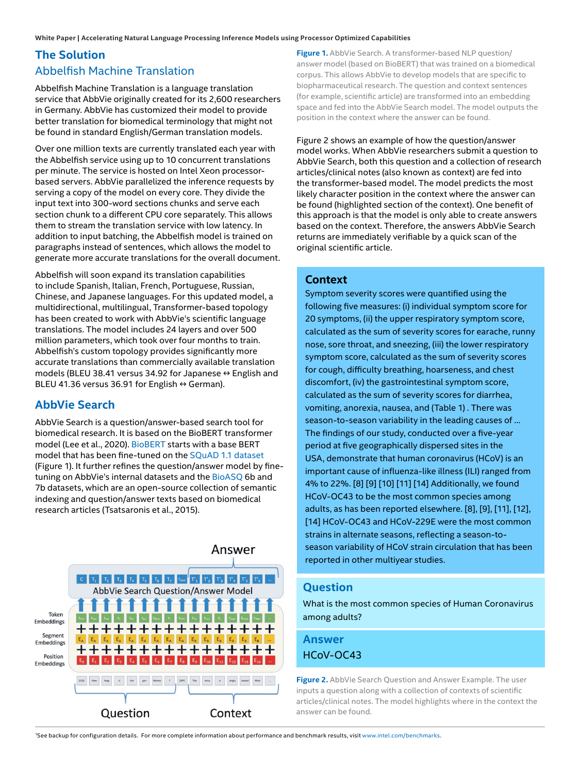### **The Solution** Abbelfish Machine Translation

Abbelfish Machine Translation is a language translation service that AbbVie originally created for its 2,600 researchers in Germany. AbbVie has customized their model to provide better translation for biomedical terminology that might not be found in standard English/German translation models.

Over one million texts are currently translated each year with the Abbelfish service using up to 10 concurrent translations per minute. The service is hosted on Intel Xeon processorbased servers. AbbVie parallelized the inference requests by serving a copy of the model on every core. They divide the input text into 300-word sections chunks and serve each section chunk to a different CPU core separately. This allows them to stream the translation service with low latency. In addition to input batching, the Abbelfish model is trained on paragraphs instead of sentences, which allows the model to generate more accurate translations for the overall document.

Abbelfish will soon expand its translation capabilities to include Spanish, Italian, French, Portuguese, Russian, Chinese, and Japanese languages. For this updated model, a multidirectional, multilingual, Transformer-based topology has been created to work with AbbVie's scientific language translations. The model includes 24 layers and over 500 million parameters, which took over four months to train. Abbelfish's custom topology provides significantly more accurate translations than commercially available translation models (BLEU 38.41 versus 34.92 for Japanese  $\leftrightarrow$  English and BLEU 41.36 versus 36.91 for English  $\leftrightarrow$  German).

#### **AbbVie Search**

AbbVie Search is a question/answer-based search tool for biomedical research. It is based on the BioBERT transformer model (Lee et al., 2020)[. BioBERT s](https://github.com/dmis-lab/biobert)tarts with a base BERT model that has been fine-tuned on the [SQuAD 1.1 dataset](https://rajpurkar.github.io/SQuAD-explorer/explore/1.1/dev/) (Figure 1). It further refines the question/answer model by finetuning on AbbVie's internal datasets and th[e BioASQ 6](http://bioasq.org)b and 7b datasets, which are an open-source collection of semantic indexing and question/answer texts based on biomedical research articles (Tsatsaronis et al., 2015).



**Figure 1.** AbbVie Search. A transformer-based NLP question/ answer model (based on BioBERT) that was trained on a biomedical corpus. This allows AbbVie to develop models that are specific to biopharmaceutical research. The question and context sentences (for example, scientific article) are transformed into an embedding space and fed into the AbbVie Search model. The model outputs the position in the context where the answer can be found.

Figure 2 shows an example of how the question/answer model works. When AbbVie researchers submit a question to AbbVie Search, both this question and a collection of research articles/clinical notes (also known as context) are fed into the transformer-based model. The model predicts the most likely character position in the context where the answer can be found (highlighted section of the context). One benefit of this approach is that the model is only able to create answers based on the context. Therefore, the answers AbbVie Search returns are immediately verifiable by a quick scan of the original scientific article.

#### **Context**

Symptom severity scores were quantified using the following five measures: (i) individual symptom score for 20 symptoms, (ii) the upper respiratory symptom score, calculated as the sum of severity scores for earache, runny nose, sore throat, and sneezing, (iii) the lower respiratory symptom score, calculated as the sum of severity scores for cough, difficulty breathing, hoarseness, and chest discomfort, (iv) the gastrointestinal symptom score, calculated as the sum of severity scores for diarrhea, vomiting, anorexia, nausea, and (Table 1) . There was season-to-season variability in the leading causes of … The findings of our study, conducted over a five-year period at five geographically dispersed sites in the USA, demonstrate that human coronavirus (HCoV) is an important cause of influenza-like illness (ILI) ranged from 4% to 22%. [8] [9] [10] [11] [14] Additionally, we found HCoV-OC43 to be the most common species among adults, as has been reported elsewhere. [8], [9], [11], [12], [14] HCoV-OC43 and HCoV-229E were the most common strains in alternate seasons, reflecting a season-toseason variability of HCoV strain circulation that has been reported in other multiyear studies.

#### **Question**

What is the most common species of Human Coronavirus among adults?

**Answer** HCoV-OC43

**Figure 2.** AbbVie Search Question and Answer Example. The user inputs a question along with a collection of contexts of scientific articles/clinical notes. The model highlights where in the context the answer can be found.

1 See backup for configuration details. For more complete information about performance and benchmark results, visit www.intel.com/benchmarks.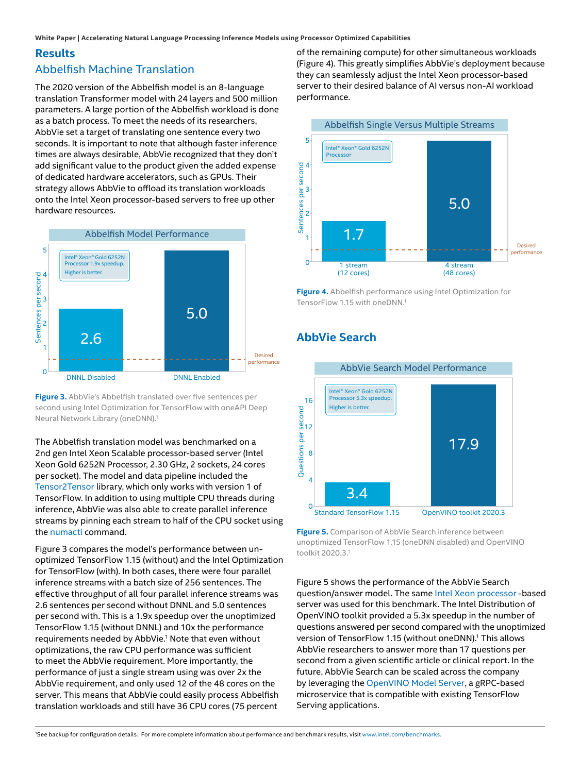**White Paper | Accelerating Natural Language Processing Inference Models using Processor Optimized Capabilities**

#### **Results** Abbelfish Machine Translation

The 2020 version of the Abbelfish model is an 8-language translation Transformer model with 24 layers and 500 million parameters. A large portion of the Abbelfish workload is done as a batch process. To meet the needs of its researchers, AbbVie set a target of translating one sentence every two seconds. It is important to note that although faster inference times are always desirable, AbbVie recognized that they don't add significant value to the product given the added expense of dedicated hardware accelerators, such as GPUs. Their strategy allows AbbVie to offload its translation workloads onto the Intel Xeon processor-based servers to free up other hardware resources.



**Figure 3.** AbbVie's Abbelfish translated over five sentences per second using Intel Optimization for TensorFlow with oneAPI Deep Neural Network Library (oneDNN).1

The Abbelfish translation model was benchmarked on a 2nd gen Intel Xeon Scalable processor-based server (Intel Xeon Gold 6252N Processor, 2.30 GHz, 2 sockets, 24 cores per socket). The model and data pipeline included the [Tensor2Tensor l](https://github.com/tensorflow/tensor2tensor)ibrary, which only works with version 1 of TensorFlow. In addition to using multiple CPU threads during inference, AbbVie was also able to create parallel inference streams by pinning each stream to half of the CPU socket using th[e numactl c](https://linux.die.net/man/8/numactl)ommand.

Figure 3 compares the model's performance between unoptimized TensorFlow 1.15 (without) and the Intel Optimization for TensorFlow (with). In both cases, there were four parallel inference streams with a batch size of 256 sentences. The effective throughput of all four parallel inference streams was 2.6 sentences per second without DNNL and 5.0 sentences per second with. This is a 1.9x speedup over the unoptimized TensorFlow 1.15 (without DNNL) and 10x the performance requirements needed by AbbVie.<sup>1</sup> Note that even without optimizations, the raw CPU performance was sufficient to meet the AbbVie requirement. More importantly, the performance of just a single stream using was over 2x the AbbVie requirement, and only used 12 of the 48 cores on the server. This means that AbbVie could easily process Abbelfish translation workloads and still have 36 CPU cores (75 percent

of the remaining compute) for other simultaneous workloads (Figure 4). This greatly simplifies AbbVie's deployment because they can seamlessly adjust the Intel Xeon processor-based server to their desired balance of AI versus non-AI workload performance.



**Figure 4.** Abbelfish performance using Intel Optimization for TensorFlow 1.15 with oneDNN.1

### **AbbVie Search**



**Figure 5.** Comparison of AbbVie Search inference between unoptimized TensorFlow 1.15 (oneDNN disabled) and OpenVINO toolkit 2020.3.1

Figure 5 shows the performance of the AbbVie Search question/answer model. The same [Intel Xeon processor -](https://ark.intel.com/content/www/us/en/ark/products/193951/intel-xeon-gold-6252n-processor-35-75m-cache-2-30-ghz.html)based server was used for this benchmark. The Intel Distribution of OpenVINO toolkit provided a 5.3x speedup in the number of questions answered per second compared with the unoptimized version of TensorFlow 1.15 (without oneDNN).<sup>1</sup> This allows AbbVie researchers to answer more than 17 questions per second from a given scientific article or clinical report. In the future, AbbVie Search can be scaled across the company by leveraging the [OpenVINO Model Server](https://github.com/openvinotoolkit/model_server), a gRPC-based microservice that is compatible with existing TensorFlow Serving applications.

1 See backup for configuration details. For more complete information about performance and benchmark results, visit www.intel.com/benchmarks.